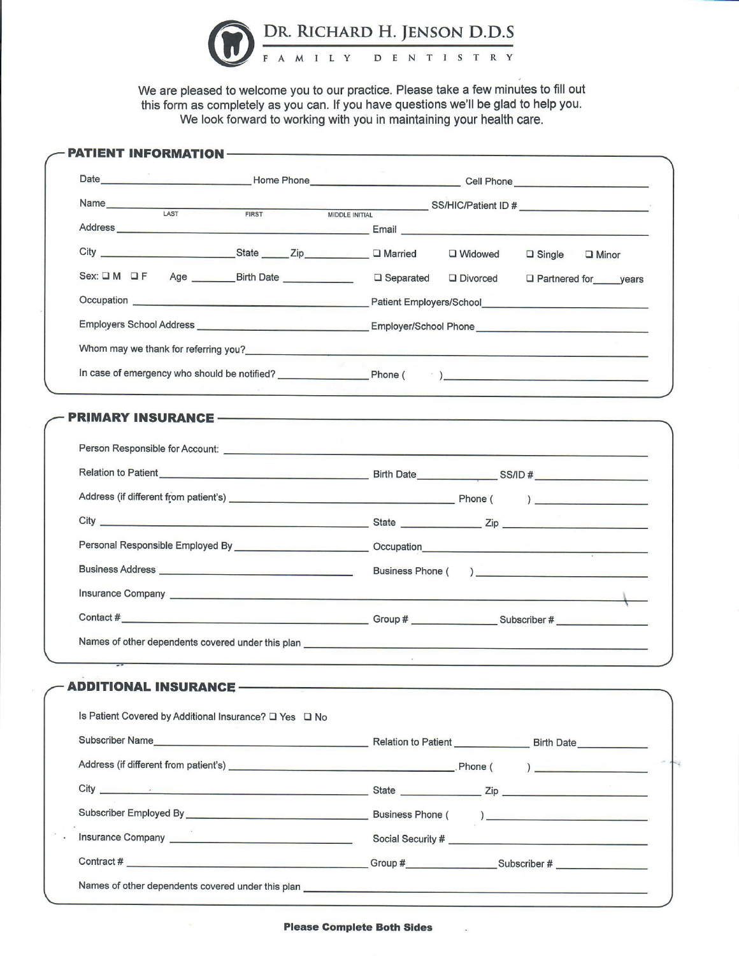

We are pleased to welcome you to our practice. Please take a few minutes to fill out this form as completely as you can. If you have questions we'll be glad to help you. We look forward to working with you in maintaining your health care.

|                                                        | □ Widowed<br>$\Box$ Single $\Box$ Minor                                                                                                                                                                                              |
|--------------------------------------------------------|--------------------------------------------------------------------------------------------------------------------------------------------------------------------------------------------------------------------------------------|
|                                                        | Sex: O M O F Age ________ Birth Date _______________ O Separated O Divorced O Partnered for ____ years                                                                                                                               |
|                                                        | Occupation entrance and the Patient Employers/School entrance and the Patient Employers/School                                                                                                                                       |
|                                                        |                                                                                                                                                                                                                                      |
|                                                        | Whom may we thank for referring you?<br><u> Whom may we thank for referring you?</u>                                                                                                                                                 |
|                                                        | In case of emergency who should be notified? Phone (Archives 2014)                                                                                                                                                                   |
|                                                        |                                                                                                                                                                                                                                      |
|                                                        |                                                                                                                                                                                                                                      |
|                                                        | Relation to Patient Lease Communication of Birth Date Communication of the SS/ID #                                                                                                                                                   |
|                                                        |                                                                                                                                                                                                                                      |
|                                                        |                                                                                                                                                                                                                                      |
|                                                        |                                                                                                                                                                                                                                      |
|                                                        |                                                                                                                                                                                                                                      |
|                                                        | Insurance Company Law and Company Law and Company Law and Company Law and Company Law and Company Law and Company                                                                                                                    |
|                                                        |                                                                                                                                                                                                                                      |
|                                                        | Names of other dependents covered under this plan <b>contained and contained and contained and contained and contained and contained and contained and contained and contained and contained and contained and contained and con</b> |
| <b>ADDITIONAL INSURANCE</b>                            |                                                                                                                                                                                                                                      |
| Is Patient Covered by Additional Insurance? □ Yes □ No |                                                                                                                                                                                                                                      |
|                                                        | Subscriber Name Birth Date                                                                                                                                                                                                           |
|                                                        |                                                                                                                                                                                                                                      |
|                                                        |                                                                                                                                                                                                                                      |
|                                                        |                                                                                                                                                                                                                                      |
|                                                        |                                                                                                                                                                                                                                      |
|                                                        |                                                                                                                                                                                                                                      |

**Please Complete Both Sides**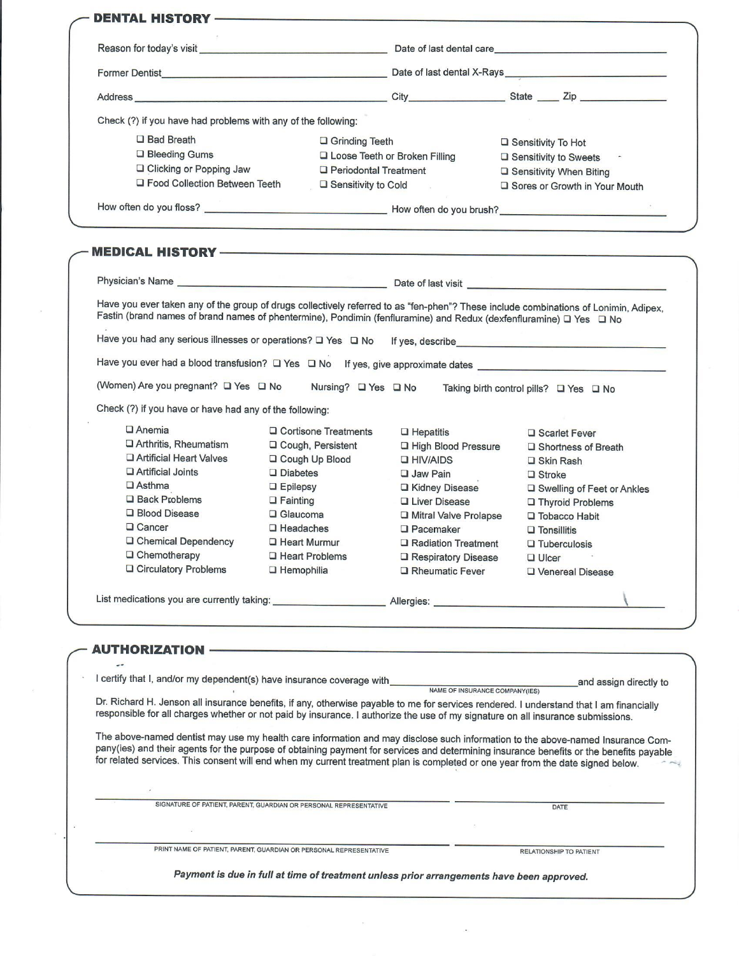|  | Check (?) if you have had problems with any of the following:                                                                                                                                                                                                                                                                                                                                                |                                                          |                         |                                                                                                                 |                                        |                               |  |  |
|--|--------------------------------------------------------------------------------------------------------------------------------------------------------------------------------------------------------------------------------------------------------------------------------------------------------------------------------------------------------------------------------------------------------------|----------------------------------------------------------|-------------------------|-----------------------------------------------------------------------------------------------------------------|----------------------------------------|-------------------------------|--|--|
|  | <b>D</b> Bad Breath                                                                                                                                                                                                                                                                                                                                                                                          | $\Box$ Grinding Teeth                                    |                         |                                                                                                                 |                                        | □ Sensitivity To Hot          |  |  |
|  | □ Bleeding Gums                                                                                                                                                                                                                                                                                                                                                                                              |                                                          |                         | □ Loose Teeth or Broken Filling                                                                                 | □ Sensitivity to Sweets                |                               |  |  |
|  | □ Clicking or Popping Jaw                                                                                                                                                                                                                                                                                                                                                                                    |                                                          | □ Periodontal Treatment |                                                                                                                 | □ Sensitivity When Biting              |                               |  |  |
|  | □ Food Collection Between Teeth                                                                                                                                                                                                                                                                                                                                                                              |                                                          | □ Sensitivity to Cold   | <b>Contract Contract Contract</b>                                                                               |                                        | Sores or Growth in Your Mouth |  |  |
|  |                                                                                                                                                                                                                                                                                                                                                                                                              |                                                          |                         |                                                                                                                 |                                        |                               |  |  |
|  |                                                                                                                                                                                                                                                                                                                                                                                                              |                                                          |                         |                                                                                                                 |                                        |                               |  |  |
|  |                                                                                                                                                                                                                                                                                                                                                                                                              |                                                          |                         |                                                                                                                 |                                        |                               |  |  |
|  |                                                                                                                                                                                                                                                                                                                                                                                                              |                                                          |                         |                                                                                                                 |                                        |                               |  |  |
|  | Have you ever taken any of the group of drugs collectively referred to as "fen-phen"? These include combinations of Lonimin, Adipex,<br>Fastin (brand names of brand names of phentermine), Pondimin (fenfluramine) and Redux (dexfenfluramine) Q Yes Q No                                                                                                                                                   |                                                          |                         |                                                                                                                 |                                        |                               |  |  |
|  |                                                                                                                                                                                                                                                                                                                                                                                                              |                                                          |                         |                                                                                                                 |                                        |                               |  |  |
|  |                                                                                                                                                                                                                                                                                                                                                                                                              |                                                          |                         |                                                                                                                 |                                        |                               |  |  |
|  | (Women) Are you pregnant? □ Yes □ No                                                                                                                                                                                                                                                                                                                                                                         |                                                          |                         | Nursing? □ Yes □ No                                                                                             | Taking birth control pills? □ Yes □ No |                               |  |  |
|  | Check (?) if you have or have had any of the following:                                                                                                                                                                                                                                                                                                                                                      |                                                          |                         |                                                                                                                 |                                        |                               |  |  |
|  | $\Box$ Anemia                                                                                                                                                                                                                                                                                                                                                                                                | □ Cortisone Treatments                                   |                         | $\Box$ Hepatitis                                                                                                |                                        | □ Scarlet Fever               |  |  |
|  | □ Arthritis, Rheumatism                                                                                                                                                                                                                                                                                                                                                                                      | □ Cough, Persistent                                      |                         | <b>L</b> High Blood Pressure                                                                                    |                                        | □ Shortness of Breath         |  |  |
|  | □ Artificial Heart Valves                                                                                                                                                                                                                                                                                                                                                                                    | □ Cough Up Blood                                         |                         | <b>Q HIV/AIDS</b>                                                                                               | □ Skin Rash                            |                               |  |  |
|  | □ Artificial Joints                                                                                                                                                                                                                                                                                                                                                                                          | $\square$ Diabetes                                       |                         | <b>Jaw Pain</b>                                                                                                 | $\Box$ Stroke                          |                               |  |  |
|  | $\square$ Asthma                                                                                                                                                                                                                                                                                                                                                                                             | $\Box$ Epilepsy                                          |                         | □ Kidney Disease                                                                                                |                                        | □ Swelling of Feet or Ankles  |  |  |
|  | $\Box$ Back Problems                                                                                                                                                                                                                                                                                                                                                                                         | $\Box$ Fainting                                          |                         | <b>Liver Disease</b>                                                                                            |                                        | Thyroid Problems              |  |  |
|  | □ Blood Disease                                                                                                                                                                                                                                                                                                                                                                                              | $\Box$ Glaucoma                                          |                         | Mitral Valve Prolapse                                                                                           |                                        | $\Box$ Tobacco Habit          |  |  |
|  | $\Box$ Cancer                                                                                                                                                                                                                                                                                                                                                                                                | $\Box$ Headaches                                         |                         | <b>Q</b> Pacemaker                                                                                              | $\square$ Tonsillitis                  |                               |  |  |
|  | □ Chemical Dependency                                                                                                                                                                                                                                                                                                                                                                                        | $\Box$ Heart Murmur                                      |                         | □ Radiation Treatment                                                                                           |                                        | $\Box$ Tuberculosis           |  |  |
|  | $\Box$ Chemotherapy                                                                                                                                                                                                                                                                                                                                                                                          | □ Heart Problems                                         |                         | Respiratory Disease                                                                                             | $\Box$ Ulcer                           |                               |  |  |
|  | □ Circulatory Problems                                                                                                                                                                                                                                                                                                                                                                                       | $\Box$ Hemophilia                                        |                         | Rheumatic Fever                                                                                                 |                                        | U Venereal Disease            |  |  |
|  | List medications you are currently taking: <u>New York Charles Allergies: New York Charles Allergies:</u>                                                                                                                                                                                                                                                                                                    |                                                          |                         |                                                                                                                 |                                        |                               |  |  |
|  |                                                                                                                                                                                                                                                                                                                                                                                                              |                                                          |                         |                                                                                                                 |                                        |                               |  |  |
|  | AUTHORIZATION -                                                                                                                                                                                                                                                                                                                                                                                              |                                                          |                         | the contract of the contract of the contract of the contract of the contract of the contract of the contract of |                                        |                               |  |  |
|  |                                                                                                                                                                                                                                                                                                                                                                                                              |                                                          |                         |                                                                                                                 |                                        |                               |  |  |
|  | I certify that I, and/or my dependent(s) have insurance coverage with                                                                                                                                                                                                                                                                                                                                        | and assign directly to<br>NAME OF INSURANCE COMPANY(IES) |                         |                                                                                                                 |                                        |                               |  |  |
|  | Dr. Richard H. Jenson all insurance benefits, if any, otherwise payable to me for services rendered. I understand that I am financially<br>responsible for all charges whether or not paid by insurance. I authorize the use of my signature on all insurance submissions.                                                                                                                                   |                                                          |                         |                                                                                                                 |                                        |                               |  |  |
|  | The above-named dentist may use my health care information and may disclose such information to the above-named Insurance Com-<br>pany(ies) and their agents for the purpose of obtaining payment for services and determining insurance benefits or the benefits payable<br>for related services. This consent will end when my current treatment plan is completed or one year from the date signed below. |                                                          |                         |                                                                                                                 |                                        |                               |  |  |
|  |                                                                                                                                                                                                                                                                                                                                                                                                              |                                                          |                         |                                                                                                                 |                                        |                               |  |  |
|  | SIGNATURE OF PATIENT, PARENT, GUARDIAN OR PERSONAL REPRESENTATIVE                                                                                                                                                                                                                                                                                                                                            |                                                          |                         |                                                                                                                 |                                        | DATE                          |  |  |
|  |                                                                                                                                                                                                                                                                                                                                                                                                              |                                                          |                         |                                                                                                                 |                                        |                               |  |  |
|  | PRINT NAME OF PATIENT, PARENT, GUARDIAN OR PERSONAL REPRESENTATIVE<br>RELATIONSHIP TO PATIENT<br>Payment is due in full at time of treatment unless prior arrangements have been approved.                                                                                                                                                                                                                   |                                                          |                         |                                                                                                                 |                                        |                               |  |  |

 $\label{eq:1.1} \mathcal{O}_{\mathcal{A}}(x,y) = \mathcal{O}_{\mathcal{A}}(x,y) \quad \text{and} \quad \mathcal{O}_{\mathcal{A}}(x,y) = \mathcal{O}_{\mathcal{A}}(x,y)$